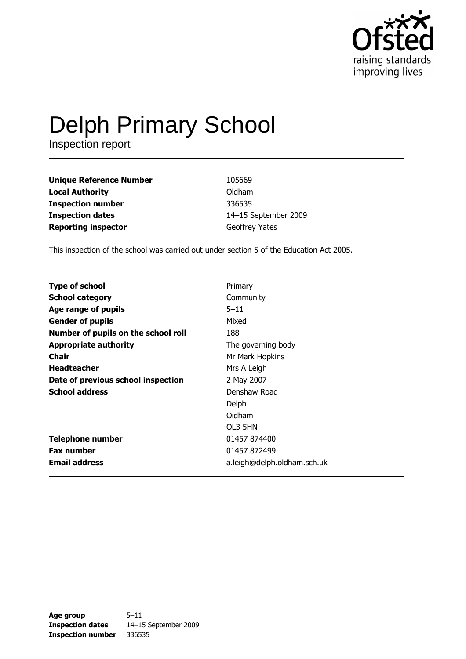

# **Delph Primary School**

Inspection report

| <b>Unique Reference Number</b> | 105669               |
|--------------------------------|----------------------|
| <b>Local Authority</b>         | Oldham               |
| <b>Inspection number</b>       | 336535               |
| <b>Inspection dates</b>        | 14-15 September 2009 |
| <b>Reporting inspector</b>     | Geoffrey Yates       |

This inspection of the school was carried out under section 5 of the Education Act 2005.

| <b>Type of school</b>               | Primary                     |
|-------------------------------------|-----------------------------|
| <b>School category</b>              | Community                   |
| Age range of pupils                 | $5 - 11$                    |
| <b>Gender of pupils</b>             | Mixed                       |
| Number of pupils on the school roll | 188                         |
| <b>Appropriate authority</b>        | The governing body          |
| Chair                               | Mr Mark Hopkins             |
| <b>Headteacher</b>                  | Mrs A Leigh                 |
| Date of previous school inspection  | 2 May 2007                  |
| <b>School address</b>               | Denshaw Road                |
|                                     | Delph                       |
|                                     | Oidham                      |
|                                     | OL3 5HN                     |
| <b>Telephone number</b>             | 01457 874400                |
| <b>Fax number</b>                   | 01457 872499                |
| <b>Email address</b>                | a.leigh@delph.oldham.sch.uk |

| Age group                | $5 - 11$             |
|--------------------------|----------------------|
| <b>Inspection dates</b>  | 14-15 September 2009 |
| <b>Inspection number</b> | 336535               |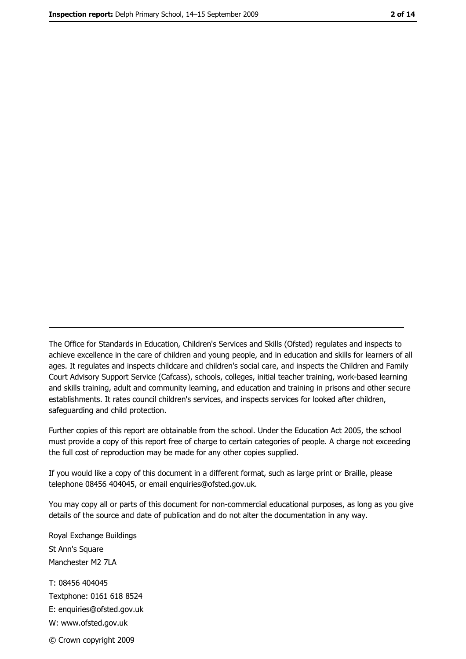The Office for Standards in Education, Children's Services and Skills (Ofsted) regulates and inspects to achieve excellence in the care of children and young people, and in education and skills for learners of all ages. It regulates and inspects childcare and children's social care, and inspects the Children and Family Court Advisory Support Service (Cafcass), schools, colleges, initial teacher training, work-based learning and skills training, adult and community learning, and education and training in prisons and other secure establishments. It rates council children's services, and inspects services for looked after children, safequarding and child protection.

Further copies of this report are obtainable from the school. Under the Education Act 2005, the school must provide a copy of this report free of charge to certain categories of people. A charge not exceeding the full cost of reproduction may be made for any other copies supplied.

If you would like a copy of this document in a different format, such as large print or Braille, please telephone 08456 404045, or email enquiries@ofsted.gov.uk.

You may copy all or parts of this document for non-commercial educational purposes, as long as you give details of the source and date of publication and do not alter the documentation in any way.

Royal Exchange Buildings St Ann's Square Manchester M2 7LA T: 08456 404045 Textphone: 0161 618 8524 E: enquiries@ofsted.gov.uk W: www.ofsted.gov.uk © Crown copyright 2009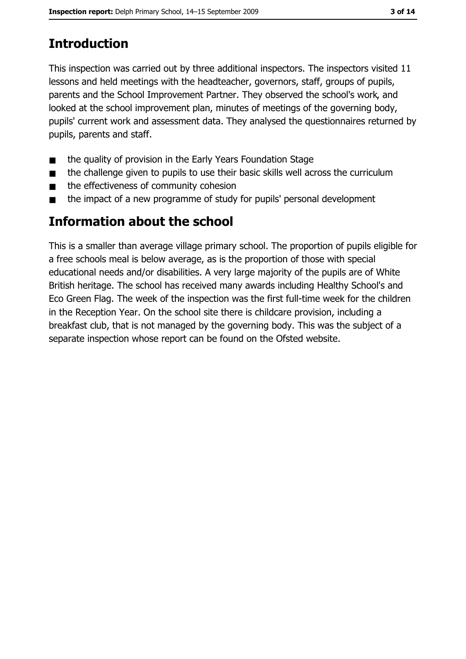# **Introduction**

This inspection was carried out by three additional inspectors. The inspectors visited 11 lessons and held meetings with the headteacher, governors, staff, groups of pupils, parents and the School Improvement Partner. They observed the school's work, and looked at the school improvement plan, minutes of meetings of the governing body, pupils' current work and assessment data. They analysed the questionnaires returned by pupils, parents and staff.

- the quality of provision in the Early Years Foundation Stage  $\blacksquare$
- the challenge given to pupils to use their basic skills well across the curriculum  $\blacksquare$
- the effectiveness of community cohesion  $\blacksquare$
- the impact of a new programme of study for pupils' personal development  $\blacksquare$

### **Information about the school**

This is a smaller than average village primary school. The proportion of pupils eligible for a free schools meal is below average, as is the proportion of those with special educational needs and/or disabilities. A very large majority of the pupils are of White British heritage. The school has received many awards including Healthy School's and Eco Green Flag. The week of the inspection was the first full-time week for the children in the Reception Year. On the school site there is childcare provision, including a breakfast club, that is not managed by the governing body. This was the subject of a separate inspection whose report can be found on the Ofsted website.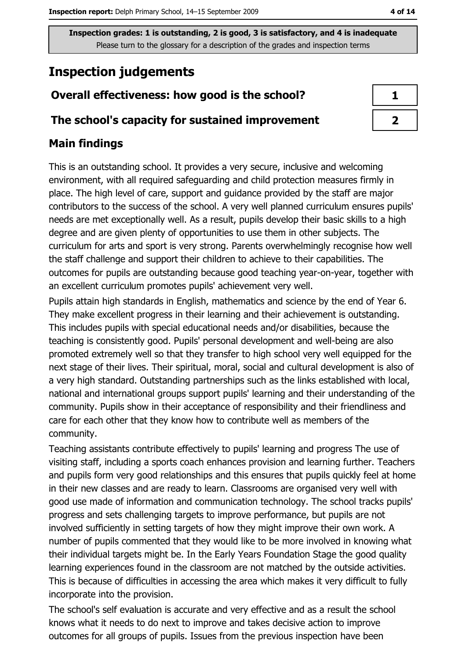## **Inspection judgements**

#### Overall effectiveness: how good is the school?

#### The school's capacity for sustained improvement

#### **Main findings**

This is an outstanding school. It provides a very secure, inclusive and welcoming environment, with all required safeguarding and child protection measures firmly in place. The high level of care, support and guidance provided by the staff are major contributors to the success of the school. A very well planned curriculum ensures pupils' needs are met exceptionally well. As a result, pupils develop their basic skills to a high degree and are given plenty of opportunities to use them in other subjects. The curriculum for arts and sport is very strong. Parents overwhelmingly recognise how well the staff challenge and support their children to achieve to their capabilities. The outcomes for pupils are outstanding because good teaching year-on-year, together with an excellent curriculum promotes pupils' achievement very well.

Pupils attain high standards in English, mathematics and science by the end of Year 6. They make excellent progress in their learning and their achievement is outstanding. This includes pupils with special educational needs and/or disabilities, because the teaching is consistently good. Pupils' personal development and well-being are also promoted extremely well so that they transfer to high school very well equipped for the next stage of their lives. Their spiritual, moral, social and cultural development is also of a very high standard. Outstanding partnerships such as the links established with local, national and international groups support pupils' learning and their understanding of the community. Pupils show in their acceptance of responsibility and their friendliness and care for each other that they know how to contribute well as members of the community.

Teaching assistants contribute effectively to pupils' learning and progress The use of visiting staff, including a sports coach enhances provision and learning further. Teachers and pupils form very good relationships and this ensures that pupils quickly feel at home in their new classes and are ready to learn. Classrooms are organised very well with good use made of information and communication technology. The school tracks pupils' progress and sets challenging targets to improve performance, but pupils are not involved sufficiently in setting targets of how they might improve their own work. A number of pupils commented that they would like to be more involved in knowing what their individual targets might be. In the Early Years Foundation Stage the good quality learning experiences found in the classroom are not matched by the outside activities. This is because of difficulties in accessing the area which makes it very difficult to fully incorporate into the provision.

The school's self evaluation is accurate and very effective and as a result the school knows what it needs to do next to improve and takes decisive action to improve outcomes for all groups of pupils. Issues from the previous inspection have been

4 of 14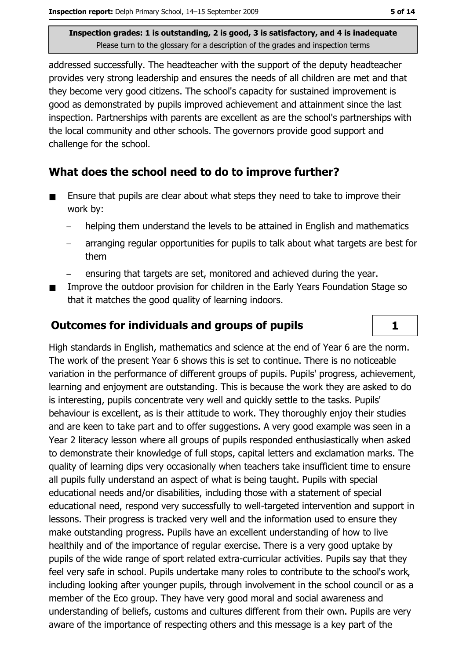addressed successfully. The headteacher with the support of the deputy headteacher provides very strong leadership and ensures the needs of all children are met and that they become very good citizens. The school's capacity for sustained improvement is good as demonstrated by pupils improved achievement and attainment since the last inspection. Partnerships with parents are excellent as are the school's partnerships with the local community and other schools. The governors provide good support and challenge for the school.

#### What does the school need to do to improve further?

- Ensure that pupils are clear about what steps they need to take to improve their  $\blacksquare$ work by:
	- helping them understand the levels to be attained in English and mathematics  $\equiv$
	- arranging regular opportunities for pupils to talk about what targets are best for them
	- ensuring that targets are set, monitored and achieved during the year.
- Improve the outdoor provision for children in the Early Years Foundation Stage so  $\blacksquare$ that it matches the good quality of learning indoors.

#### **Outcomes for individuals and groups of pupils**

High standards in English, mathematics and science at the end of Year 6 are the norm. The work of the present Year 6 shows this is set to continue. There is no noticeable variation in the performance of different groups of pupils. Pupils' progress, achievement, learning and enjoyment are outstanding. This is because the work they are asked to do is interesting, pupils concentrate very well and quickly settle to the tasks. Pupils' behaviour is excellent, as is their attitude to work. They thoroughly enjoy their studies and are keen to take part and to offer suggestions. A very good example was seen in a Year 2 literacy lesson where all groups of pupils responded enthusiastically when asked to demonstrate their knowledge of full stops, capital letters and exclamation marks. The quality of learning dips very occasionally when teachers take insufficient time to ensure all pupils fully understand an aspect of what is being taught. Pupils with special educational needs and/or disabilities, including those with a statement of special educational need, respond very successfully to well-targeted intervention and support in lessons. Their progress is tracked very well and the information used to ensure they make outstanding progress. Pupils have an excellent understanding of how to live healthily and of the importance of regular exercise. There is a very good uptake by pupils of the wide range of sport related extra-curricular activities. Pupils say that they feel very safe in school. Pupils undertake many roles to contribute to the school's work, including looking after younger pupils, through involvement in the school council or as a member of the Eco group. They have very good moral and social awareness and understanding of beliefs, customs and cultures different from their own. Pupils are very aware of the importance of respecting others and this message is a key part of the

 $\mathbf{1}$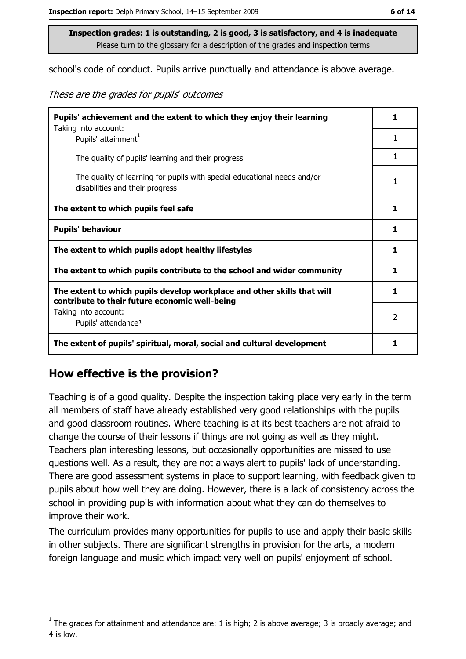school's code of conduct. Pupils arrive punctually and attendance is above average.

These are the grades for pupils' outcomes

| Pupils' achievement and the extent to which they enjoy their learning                                                     |   |
|---------------------------------------------------------------------------------------------------------------------------|---|
| Taking into account:<br>Pupils' attainment <sup>1</sup>                                                                   | 1 |
| The quality of pupils' learning and their progress                                                                        | 1 |
| The quality of learning for pupils with special educational needs and/or<br>disabilities and their progress               |   |
| The extent to which pupils feel safe                                                                                      | 1 |
| <b>Pupils' behaviour</b>                                                                                                  |   |
| The extent to which pupils adopt healthy lifestyles                                                                       | 1 |
| The extent to which pupils contribute to the school and wider community                                                   | 1 |
| The extent to which pupils develop workplace and other skills that will<br>contribute to their future economic well-being |   |
| Taking into account:<br>Pupils' attendance <sup>1</sup>                                                                   | 2 |
| The extent of pupils' spiritual, moral, social and cultural development                                                   | 1 |

#### How effective is the provision?

Teaching is of a good quality. Despite the inspection taking place very early in the term all members of staff have already established very good relationships with the pupils and good classroom routines. Where teaching is at its best teachers are not afraid to change the course of their lessons if things are not going as well as they might. Teachers plan interesting lessons, but occasionally opportunities are missed to use questions well. As a result, they are not always alert to pupils' lack of understanding. There are good assessment systems in place to support learning, with feedback given to pupils about how well they are doing. However, there is a lack of consistency across the school in providing pupils with information about what they can do themselves to improve their work.

The curriculum provides many opportunities for pupils to use and apply their basic skills in other subjects. There are significant strengths in provision for the arts, a modern foreign language and music which impact very well on pupils' enjoyment of school.

The grades for attainment and attendance are: 1 is high; 2 is above average; 3 is broadly average; and 4 is low.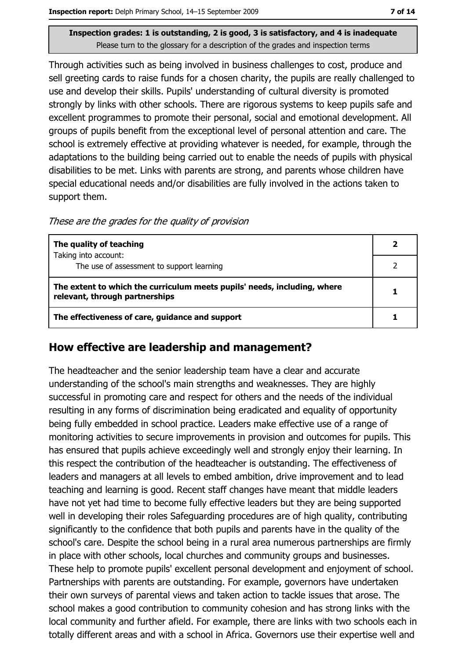Through activities such as being involved in business challenges to cost, produce and sell greeting cards to raise funds for a chosen charity, the pupils are really challenged to use and develop their skills. Pupils' understanding of cultural diversity is promoted strongly by links with other schools. There are rigorous systems to keep pupils safe and excellent programmes to promote their personal, social and emotional development. All groups of pupils benefit from the exceptional level of personal attention and care. The school is extremely effective at providing whatever is needed, for example, through the adaptations to the building being carried out to enable the needs of pupils with physical disabilities to be met. Links with parents are strong, and parents whose children have special educational needs and/or disabilities are fully involved in the actions taken to support them.

These are the grades for the quality of provision

| The quality of teaching                                                                                    |  |
|------------------------------------------------------------------------------------------------------------|--|
| Taking into account:                                                                                       |  |
| The use of assessment to support learning                                                                  |  |
| The extent to which the curriculum meets pupils' needs, including, where<br>relevant, through partnerships |  |
| The effectiveness of care, guidance and support                                                            |  |

#### How effective are leadership and management?

The headteacher and the senior leadership team have a clear and accurate understanding of the school's main strengths and weaknesses. They are highly successful in promoting care and respect for others and the needs of the individual resulting in any forms of discrimination being eradicated and equality of opportunity being fully embedded in school practice. Leaders make effective use of a range of monitoring activities to secure improvements in provision and outcomes for pupils. This has ensured that pupils achieve exceedingly well and strongly enjoy their learning. In this respect the contribution of the headteacher is outstanding. The effectiveness of leaders and managers at all levels to embed ambition, drive improvement and to lead teaching and learning is good. Recent staff changes have meant that middle leaders have not yet had time to become fully effective leaders but they are being supported well in developing their roles Safeguarding procedures are of high quality, contributing significantly to the confidence that both pupils and parents have in the quality of the school's care. Despite the school being in a rural area numerous partnerships are firmly in place with other schools, local churches and community groups and businesses. These help to promote pupils' excellent personal development and enjoyment of school. Partnerships with parents are outstanding. For example, governors have undertaken their own surveys of parental views and taken action to tackle issues that arose. The school makes a good contribution to community cohesion and has strong links with the local community and further afield. For example, there are links with two schools each in totally different areas and with a school in Africa. Governors use their expertise well and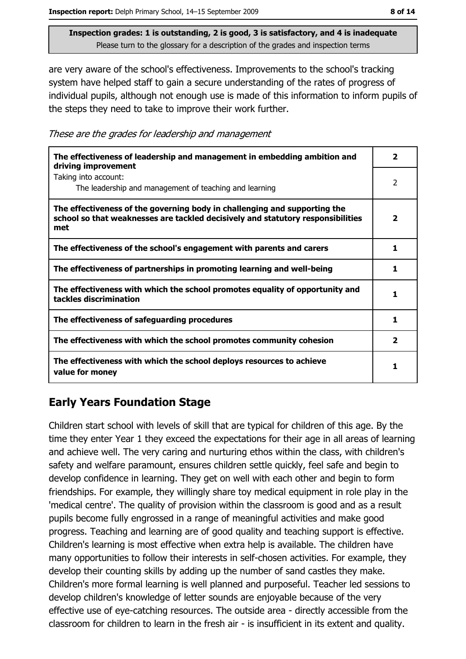are very aware of the school's effectiveness. Improvements to the school's tracking system have helped staff to gain a secure understanding of the rates of progress of individual pupils, although not enough use is made of this information to inform pupils of the steps they need to take to improve their work further.

These are the grades for leadership and management

| The effectiveness of leadership and management in embedding ambition and<br>driving improvement                                                                     | 2                       |
|---------------------------------------------------------------------------------------------------------------------------------------------------------------------|-------------------------|
| Taking into account:<br>The leadership and management of teaching and learning                                                                                      | 2                       |
| The effectiveness of the governing body in challenging and supporting the<br>school so that weaknesses are tackled decisively and statutory responsibilities<br>met | $\overline{\mathbf{2}}$ |
| The effectiveness of the school's engagement with parents and carers                                                                                                | 1                       |
| The effectiveness of partnerships in promoting learning and well-being                                                                                              | 1.                      |
| The effectiveness with which the school promotes equality of opportunity and<br>tackles discrimination                                                              | 1                       |
| The effectiveness of safeguarding procedures                                                                                                                        | 1                       |
| The effectiveness with which the school promotes community cohesion                                                                                                 | 2                       |
| The effectiveness with which the school deploys resources to achieve<br>value for money                                                                             | 1                       |

#### **Early Years Foundation Stage**

Children start school with levels of skill that are typical for children of this age. By the time they enter Year 1 they exceed the expectations for their age in all areas of learning and achieve well. The very caring and nurturing ethos within the class, with children's safety and welfare paramount, ensures children settle quickly, feel safe and begin to develop confidence in learning. They get on well with each other and begin to form friendships. For example, they willingly share toy medical equipment in role play in the 'medical centre'. The quality of provision within the classroom is good and as a result pupils become fully engrossed in a range of meaningful activities and make good progress. Teaching and learning are of good quality and teaching support is effective. Children's learning is most effective when extra help is available. The children have many opportunities to follow their interests in self-chosen activities. For example, they develop their counting skills by adding up the number of sand castles they make. Children's more formal learning is well planned and purposeful. Teacher led sessions to develop children's knowledge of letter sounds are enjoyable because of the very effective use of eye-catching resources. The outside area - directly accessible from the classroom for children to learn in the fresh air - is insufficient in its extent and quality.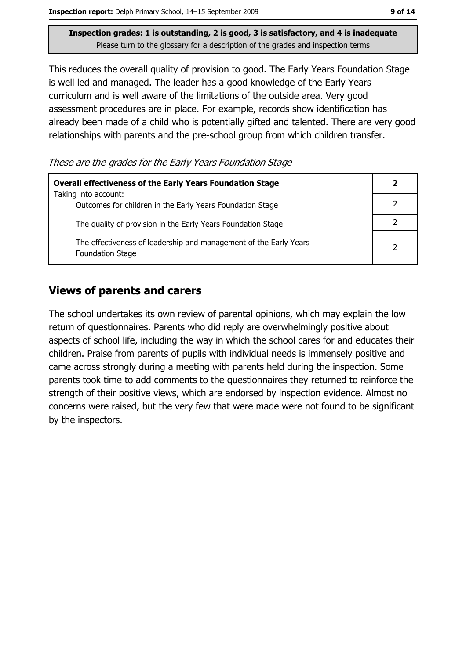Inspection report: Delph Primary School, 14-15 September 2009

Inspection grades: 1 is outstanding, 2 is good, 3 is satisfactory, and 4 is inadequate Please turn to the glossary for a description of the grades and inspection terms

This reduces the overall quality of provision to good. The Early Years Foundation Stage is well led and managed. The leader has a good knowledge of the Early Years curriculum and is well aware of the limitations of the outside area. Very good assessment procedures are in place. For example, records show identification has already been made of a child who is potentially gifted and talented. There are very good relationships with parents and the pre-school group from which children transfer.

These are the grades for the Early Years Foundation Stage

| <b>Overall effectiveness of the Early Years Foundation Stage</b><br>Taking into account:     | $\mathbf{2}$ |
|----------------------------------------------------------------------------------------------|--------------|
| Outcomes for children in the Early Years Foundation Stage                                    |              |
| The quality of provision in the Early Years Foundation Stage                                 |              |
| The effectiveness of leadership and management of the Early Years<br><b>Foundation Stage</b> | 2            |

#### **Views of parents and carers**

The school undertakes its own review of parental opinions, which may explain the low return of questionnaires. Parents who did reply are overwhelmingly positive about aspects of school life, including the way in which the school cares for and educates their children. Praise from parents of pupils with individual needs is immensely positive and came across strongly during a meeting with parents held during the inspection. Some parents took time to add comments to the questionnaires they returned to reinforce the strength of their positive views, which are endorsed by inspection evidence. Almost no concerns were raised, but the very few that were made were not found to be significant by the inspectors.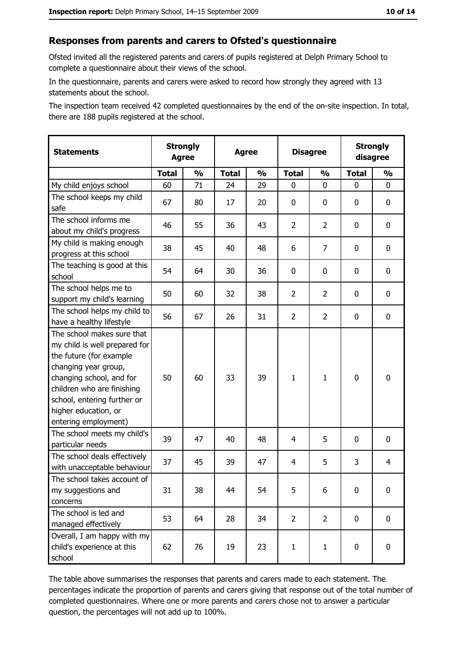#### Responses from parents and carers to Ofsted's questionnaire

Ofsted invited all the registered parents and carers of pupils registered at Delph Primary School to complete a questionnaire about their views of the school.

In the questionnaire, parents and carers were asked to record how strongly they agreed with 13 statements about the school.

The inspection team received 42 completed questionnaires by the end of the on-site inspection. In total, there are 188 pupils registered at the school.

| <b>Statements</b>                                                                                                                                                                                                                                       | <b>Strongly</b><br><b>Agree</b> |               | <b>Agree</b> |               | <b>Disagree</b> |                | <b>Strongly</b><br>disagree |               |
|---------------------------------------------------------------------------------------------------------------------------------------------------------------------------------------------------------------------------------------------------------|---------------------------------|---------------|--------------|---------------|-----------------|----------------|-----------------------------|---------------|
|                                                                                                                                                                                                                                                         | <b>Total</b>                    | $\frac{1}{2}$ | <b>Total</b> | $\frac{0}{0}$ | <b>Total</b>    | $\frac{1}{2}$  | <b>Total</b>                | $\frac{1}{2}$ |
| My child enjoys school                                                                                                                                                                                                                                  | 60                              | 71            | 24           | 29            | 0               | 0              | $\Omega$                    | 0             |
| The school keeps my child<br>safe                                                                                                                                                                                                                       | 67                              | 80            | 17           | 20            | $\mathbf 0$     | 0              | $\mathbf{0}$                | 0             |
| The school informs me<br>about my child's progress                                                                                                                                                                                                      | 46                              | 55            | 36           | 43            | $\overline{2}$  | $\overline{2}$ | $\mathbf{0}$                | 0             |
| My child is making enough<br>progress at this school                                                                                                                                                                                                    | 38                              | 45            | 40           | 48            | 6               | 7              | 0                           | 0             |
| The teaching is good at this<br>school                                                                                                                                                                                                                  | 54                              | 64            | 30           | 36            | $\mathbf 0$     | 0              | 0                           | 0             |
| The school helps me to<br>support my child's learning                                                                                                                                                                                                   | 50                              | 60            | 32           | 38            | $\overline{2}$  | $\overline{2}$ | 0                           | 0             |
| The school helps my child to<br>have a healthy lifestyle                                                                                                                                                                                                | 56                              | 67            | 26           | 31            | $\overline{2}$  | $\overline{2}$ | 0                           | 0             |
| The school makes sure that<br>my child is well prepared for<br>the future (for example<br>changing year group,<br>changing school, and for<br>children who are finishing<br>school, entering further or<br>higher education, or<br>entering employment) | 50                              | 60            | 33           | 39            | $\mathbf{1}$    | $\mathbf{1}$   | 0                           | 0             |
| The school meets my child's<br>particular needs                                                                                                                                                                                                         | 39                              | 47            | 40           | 48            | 4               | 5              | 0                           | 0             |
| The school deals effectively<br>with unacceptable behaviour                                                                                                                                                                                             | 37                              | 45            | 39           | 47            | $\overline{4}$  | 5              | 3                           | 4             |
| The school takes account of<br>my suggestions and<br>concerns                                                                                                                                                                                           | 31                              | 38            | 44           | 54            | 5               | 6              | 0                           | 0             |
| The school is led and<br>managed effectively                                                                                                                                                                                                            | 53                              | 64            | 28           | 34            | $\overline{2}$  | $\overline{2}$ | 0                           | $\mathbf 0$   |
| Overall, I am happy with my<br>child's experience at this<br>school                                                                                                                                                                                     | 62                              | 76            | 19           | 23            | $\mathbf{1}$    | $\mathbf{1}$   | $\mathbf 0$                 | 0             |

The table above summarises the responses that parents and carers made to each statement. The percentages indicate the proportion of parents and carers giving that response out of the total number of completed questionnaires. Where one or more parents and carers chose not to answer a particular question, the percentages will not add up to 100%.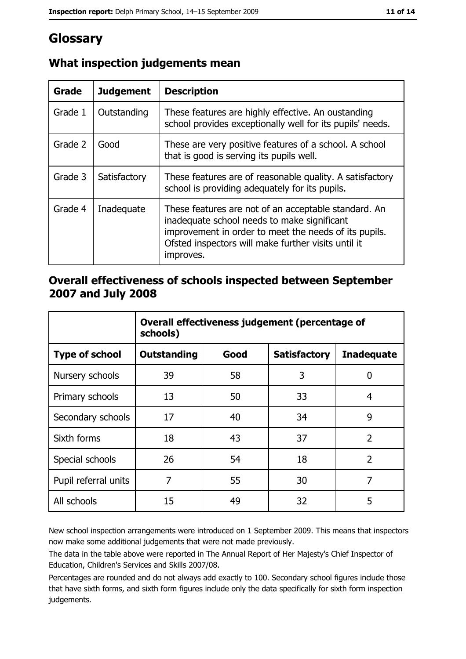## Glossary

| <b>Grade</b> | <b>Judgement</b> | <b>Description</b>                                                                                                                                                                                                               |
|--------------|------------------|----------------------------------------------------------------------------------------------------------------------------------------------------------------------------------------------------------------------------------|
| Grade 1      | Outstanding      | These features are highly effective. An oustanding<br>school provides exceptionally well for its pupils' needs.                                                                                                                  |
| Grade 2      | Good             | These are very positive features of a school. A school<br>that is good is serving its pupils well.                                                                                                                               |
| Grade 3      | Satisfactory     | These features are of reasonable quality. A satisfactory<br>school is providing adequately for its pupils.                                                                                                                       |
| Grade 4      | Inadequate       | These features are not of an acceptable standard. An<br>inadequate school needs to make significant<br>improvement in order to meet the needs of its pupils.<br>Ofsted inspectors will make further visits until it<br>improves. |

## What inspection judgements mean

#### Overall effectiveness of schools inspected between September 2007 and July 2008

|                       | Overall effectiveness judgement (percentage of<br>schools) |      |                     |                   |
|-----------------------|------------------------------------------------------------|------|---------------------|-------------------|
| <b>Type of school</b> | Outstanding                                                | Good | <b>Satisfactory</b> | <b>Inadequate</b> |
| Nursery schools       | 39                                                         | 58   | 3                   | 0                 |
| Primary schools       | 13                                                         | 50   | 33                  | 4                 |
| Secondary schools     | 17                                                         | 40   | 34                  | 9                 |
| Sixth forms           | 18                                                         | 43   | 37                  | $\overline{2}$    |
| Special schools       | 26                                                         | 54   | 18                  | $\overline{2}$    |
| Pupil referral units  | 7                                                          | 55   | 30                  | 7                 |
| All schools           | 15                                                         | 49   | 32                  | 5                 |

New school inspection arrangements were introduced on 1 September 2009. This means that inspectors now make some additional judgements that were not made previously.

The data in the table above were reported in The Annual Report of Her Majesty's Chief Inspector of Education, Children's Services and Skills 2007/08.

Percentages are rounded and do not always add exactly to 100. Secondary school figures include those that have sixth forms, and sixth form figures include only the data specifically for sixth form inspection judgements.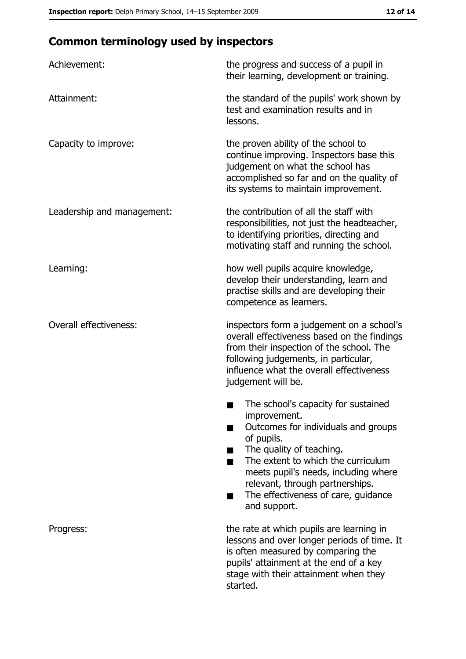## **Common terminology used by inspectors**

| Achievement:                  | the progress and success of a pupil in<br>their learning, development or training.                                                                                                                                                                                                                           |
|-------------------------------|--------------------------------------------------------------------------------------------------------------------------------------------------------------------------------------------------------------------------------------------------------------------------------------------------------------|
| Attainment:                   | the standard of the pupils' work shown by<br>test and examination results and in<br>lessons.                                                                                                                                                                                                                 |
| Capacity to improve:          | the proven ability of the school to<br>continue improving. Inspectors base this<br>judgement on what the school has<br>accomplished so far and on the quality of<br>its systems to maintain improvement.                                                                                                     |
| Leadership and management:    | the contribution of all the staff with<br>responsibilities, not just the headteacher,<br>to identifying priorities, directing and<br>motivating staff and running the school.                                                                                                                                |
| Learning:                     | how well pupils acquire knowledge,<br>develop their understanding, learn and<br>practise skills and are developing their<br>competence as learners.                                                                                                                                                          |
| <b>Overall effectiveness:</b> | inspectors form a judgement on a school's<br>overall effectiveness based on the findings<br>from their inspection of the school. The<br>following judgements, in particular,<br>influence what the overall effectiveness<br>judgement will be.                                                               |
|                               | The school's capacity for sustained<br>improvement.<br>Outcomes for individuals and groups<br>of pupils.<br>The quality of teaching.<br>The extent to which the curriculum<br>meets pupil's needs, including where<br>relevant, through partnerships.<br>The effectiveness of care, guidance<br>and support. |
| Progress:                     | the rate at which pupils are learning in<br>lessons and over longer periods of time. It<br>is often measured by comparing the<br>pupils' attainment at the end of a key<br>stage with their attainment when they<br>started.                                                                                 |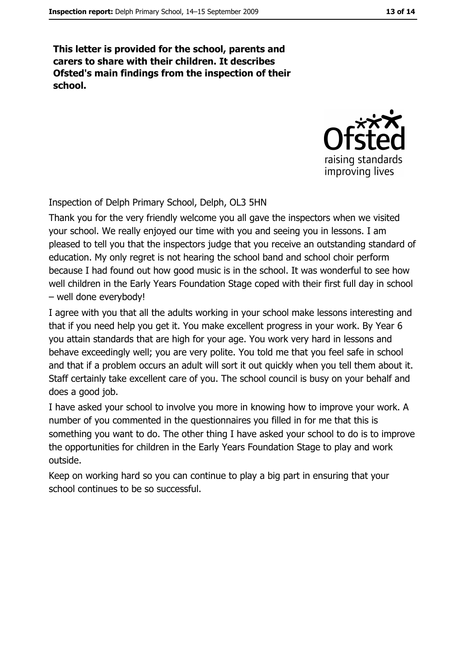This letter is provided for the school, parents and carers to share with their children. It describes Ofsted's main findings from the inspection of their school.



Inspection of Delph Primary School, Delph, OL3 5HN

Thank you for the very friendly welcome you all gave the inspectors when we visited your school. We really enjoyed our time with you and seeing you in lessons. I am pleased to tell you that the inspectors judge that you receive an outstanding standard of education. My only regret is not hearing the school band and school choir perform because I had found out how good music is in the school. It was wonderful to see how well children in the Early Years Foundation Stage coped with their first full day in school - well done everybody!

I agree with you that all the adults working in your school make lessons interesting and that if you need help you get it. You make excellent progress in your work. By Year 6 you attain standards that are high for your age. You work very hard in lessons and behave exceedingly well; you are very polite. You told me that you feel safe in school and that if a problem occurs an adult will sort it out quickly when you tell them about it. Staff certainly take excellent care of you. The school council is busy on your behalf and does a good job.

I have asked your school to involve you more in knowing how to improve your work. A number of you commented in the questionnaires you filled in for me that this is something you want to do. The other thing I have asked your school to do is to improve the opportunities for children in the Early Years Foundation Stage to play and work outside.

Keep on working hard so you can continue to play a big part in ensuring that your school continues to be so successful.